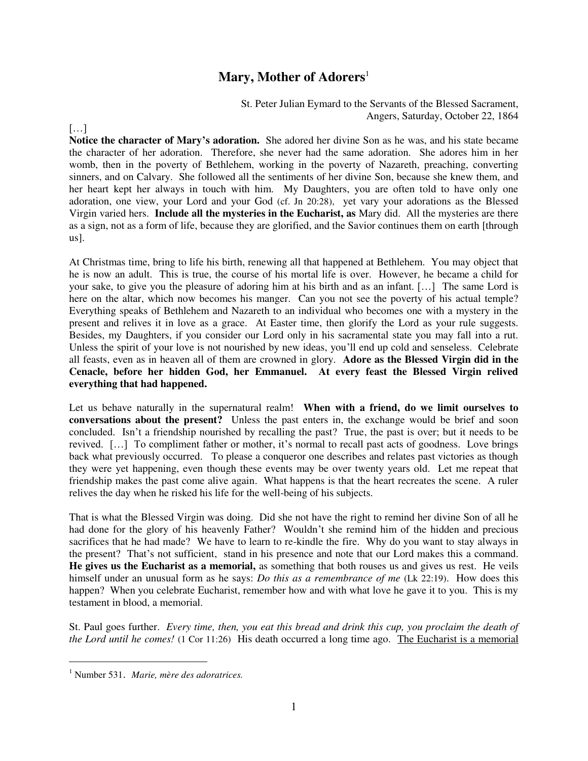# **Mary, Mother of Adorers**<sup>1</sup>

St. Peter Julian Eymard to the Servants of the Blessed Sacrament, Angers, Saturday, October 22, 1864

 $[\dots]$ 

**Notice the character of Mary's adoration.** She adored her divine Son as he was, and his state became the character of her adoration. Therefore, she never had the same adoration. She adores him in her womb, then in the poverty of Bethlehem, working in the poverty of Nazareth, preaching, converting sinners, and on Calvary. She followed all the sentiments of her divine Son, because she knew them, and her heart kept her always in touch with him. My Daughters, you are often told to have only one adoration, one view, your Lord and your God (cf. Jn 20:28), yet vary your adorations as the Blessed Virgin varied hers. **Include all the mysteries in the Eucharist, as** Mary did. All the mysteries are there as a sign, not as a form of life, because they are glorified, and the Savior continues them on earth [through us].

At Christmas time, bring to life his birth, renewing all that happened at Bethlehem. You may object that he is now an adult. This is true, the course of his mortal life is over. However, he became a child for your sake, to give you the pleasure of adoring him at his birth and as an infant. […] The same Lord is here on the altar, which now becomes his manger. Can you not see the poverty of his actual temple? Everything speaks of Bethlehem and Nazareth to an individual who becomes one with a mystery in the present and relives it in love as a grace. At Easter time, then glorify the Lord as your rule suggests. Besides, my Daughters, if you consider our Lord only in his sacramental state you may fall into a rut. Unless the spirit of your love is not nourished by new ideas, you'll end up cold and senseless. Celebrate all feasts, even as in heaven all of them are crowned in glory. **Adore as the Blessed Virgin did in the Cenacle, before her hidden God, her Emmanuel. At every feast the Blessed Virgin relived everything that had happened.** 

Let us behave naturally in the supernatural realm! **When with a friend, do we limit ourselves to conversations about the present?** Unless the past enters in, the exchange would be brief and soon concluded. Isn't a friendship nourished by recalling the past? True, the past is over; but it needs to be revived. […] To compliment father or mother, it's normal to recall past acts of goodness. Love brings back what previously occurred. To please a conqueror one describes and relates past victories as though they were yet happening, even though these events may be over twenty years old. Let me repeat that friendship makes the past come alive again. What happens is that the heart recreates the scene. A ruler relives the day when he risked his life for the well-being of his subjects.

That is what the Blessed Virgin was doing. Did she not have the right to remind her divine Son of all he had done for the glory of his heavenly Father? Wouldn't she remind him of the hidden and precious sacrifices that he had made? We have to learn to re-kindle the fire. Why do you want to stay always in the present? That's not sufficient, stand in his presence and note that our Lord makes this a command. **He gives us the Eucharist as a memorial,** as something that both rouses us and gives us rest. He veils himself under an unusual form as he says: *Do this as a remembrance of me* (Lk 22:19). How does this happen? When you celebrate Eucharist, remember how and with what love he gave it to you. This is my testament in blood, a memorial.

St. Paul goes further. *Every time, then, you eat this bread and drink this cup, you proclaim the death of the Lord until he comes!* (1 Cor 11:26) His death occurred a long time ago. The Eucharist is a memorial

 $\overline{a}$ 

<sup>1</sup> Number 531. *Marie, mère des adoratrices.*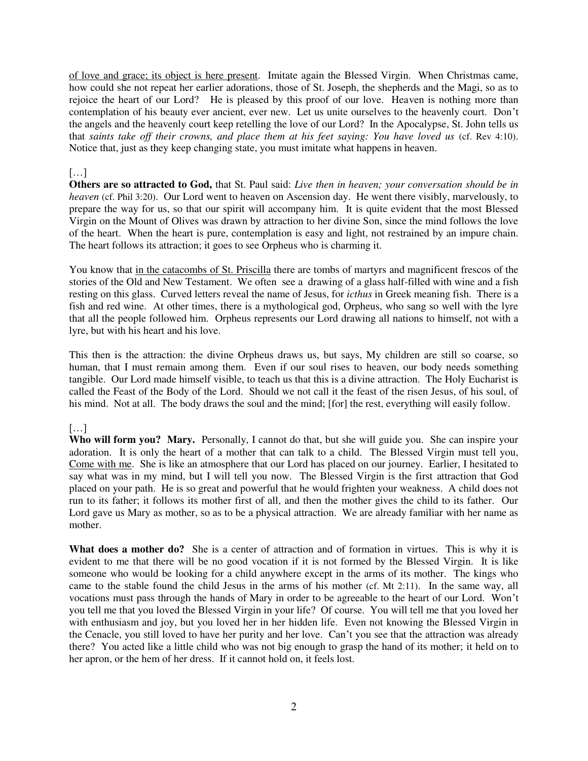of love and grace; its object is here present. Imitate again the Blessed Virgin. When Christmas came, how could she not repeat her earlier adorations, those of St. Joseph, the shepherds and the Magi, so as to rejoice the heart of our Lord? He is pleased by this proof of our love. Heaven is nothing more than contemplation of his beauty ever ancient, ever new. Let us unite ourselves to the heavenly court. Don't the angels and the heavenly court keep retelling the love of our Lord? In the Apocalypse, St. John tells us that *saints take off their crowns, and place them at his feet saying: You have loved us* (cf. Rev 4:10). Notice that, just as they keep changing state, you must imitate what happens in heaven.

### […]

**Others are so attracted to God,** that St. Paul said: *Live then in heaven; your conversation should be in heaven* (cf. Phil 3:20). Our Lord went to heaven on Ascension day. He went there visibly, marvelously, to prepare the way for us, so that our spirit will accompany him. It is quite evident that the most Blessed Virgin on the Mount of Olives was drawn by attraction to her divine Son, since the mind follows the love of the heart. When the heart is pure, contemplation is easy and light, not restrained by an impure chain. The heart follows its attraction; it goes to see Orpheus who is charming it.

You know that in the catacombs of St. Priscilla there are tombs of martyrs and magnificent frescos of the stories of the Old and New Testament. We often see a drawing of a glass half-filled with wine and a fish resting on this glass. Curved letters reveal the name of Jesus, for *icthus* in Greek meaning fish. There is a fish and red wine. At other times, there is a mythological god, Orpheus, who sang so well with the lyre that all the people followed him. Orpheus represents our Lord drawing all nations to himself, not with a lyre, but with his heart and his love.

This then is the attraction: the divine Orpheus draws us, but says, My children are still so coarse, so human, that I must remain among them. Even if our soul rises to heaven, our body needs something tangible. Our Lord made himself visible, to teach us that this is a divine attraction. The Holy Eucharist is called the Feast of the Body of the Lord. Should we not call it the feast of the risen Jesus, of his soul, of his mind. Not at all. The body draws the soul and the mind; [for] the rest, everything will easily follow.

## $\left[\ldots\right]$

**Who will form you? Mary.** Personally, I cannot do that, but she will guide you. She can inspire your adoration. It is only the heart of a mother that can talk to a child. The Blessed Virgin must tell you, Come with me. She is like an atmosphere that our Lord has placed on our journey. Earlier, I hesitated to say what was in my mind, but I will tell you now. The Blessed Virgin is the first attraction that God placed on your path. He is so great and powerful that he would frighten your weakness. A child does not run to its father; it follows its mother first of all, and then the mother gives the child to its father. Our Lord gave us Mary as mother, so as to be a physical attraction. We are already familiar with her name as mother.

**What does a mother do?** She is a center of attraction and of formation in virtues. This is why it is evident to me that there will be no good vocation if it is not formed by the Blessed Virgin. It is like someone who would be looking for a child anywhere except in the arms of its mother. The kings who came to the stable found the child Jesus in the arms of his mother (cf. Mt 2:11). In the same way, all vocations must pass through the hands of Mary in order to be agreeable to the heart of our Lord. Won't you tell me that you loved the Blessed Virgin in your life? Of course. You will tell me that you loved her with enthusiasm and joy, but you loved her in her hidden life. Even not knowing the Blessed Virgin in the Cenacle, you still loved to have her purity and her love. Can't you see that the attraction was already there? You acted like a little child who was not big enough to grasp the hand of its mother; it held on to her apron, or the hem of her dress. If it cannot hold on, it feels lost.